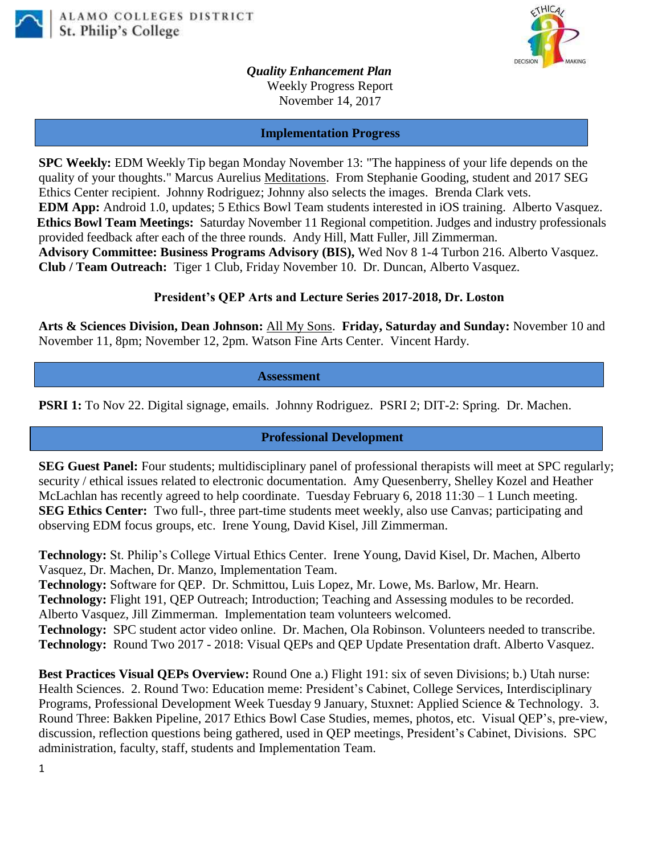



*Quality Enhancement Plan*

Weekly Progress Report November 14, 2017

**Implementation Progress**

**SPC Weekly:** EDM Weekly Tip began Monday November 13: "The happiness of your life depends on the quality of your thoughts." Marcus Aurelius Meditations. From Stephanie Gooding, student and 2017 SEG Ethics Center recipient. Johnny Rodriguez; Johnny also selects the images. Brenda Clark vets. **EDM App:** Android 1.0, updates; 5 Ethics Bowl Team students interested in iOS training. Alberto Vasquez. **Ethics Bowl Team Meetings:** Saturday November 11 Regional competition. Judges and industry professionals provided feedback after each of the three rounds. Andy Hill, Matt Fuller, Jill Zimmerman. **Advisory Committee: Business Programs Advisory (BIS),** Wed Nov 8 1-4 Turbon 216. Alberto Vasquez. **Club / Team Outreach:** Tiger 1 Club, Friday November 10. Dr. Duncan, Alberto Vasquez.

## **President's QEP Arts and Lecture Series 2017-2018, Dr. Loston**

**Arts & Sciences Division, Dean Johnson:** All My Sons. **Friday, Saturday and Sunday:** November 10 and November 11, 8pm; November 12, 2pm. Watson Fine Arts Center. Vincent Hardy.

 **Assessment**

**PSRI 1:** To Nov 22. Digital signage, emails. Johnny Rodriguez. PSRI 2; DIT-2: Spring. Dr. Machen.

**Professional Development**

**SEG Guest Panel:** Four students; multidisciplinary panel of professional therapists will meet at SPC regularly; security / ethical issues related to electronic documentation. Amy Quesenberry, Shelley Kozel and Heather McLachlan has recently agreed to help coordinate. Tuesday February 6, 2018 11:30 – 1 Lunch meeting. **SEG Ethics Center:** Two full-, three part-time students meet weekly, also use Canvas; participating and observing EDM focus groups, etc. Irene Young, David Kisel, Jill Zimmerman.

**Technology:** St. Philip's College Virtual Ethics Center. Irene Young, David Kisel, Dr. Machen, Alberto Vasquez, Dr. Machen, Dr. Manzo, Implementation Team.

**Technology:** Software for QEP. Dr. Schmittou, Luis Lopez, Mr. Lowe, Ms. Barlow, Mr. Hearn. **Technology:** Flight 191, QEP Outreach; Introduction; Teaching and Assessing modules to be recorded. Alberto Vasquez, Jill Zimmerman. Implementation team volunteers welcomed.

**Technology:** SPC student actor video online. Dr. Machen, Ola Robinson. Volunteers needed to transcribe. **Technology:** Round Two 2017 - 2018: Visual QEPs and QEP Update Presentation draft. Alberto Vasquez.

**Best Practices Visual QEPs Overview:** Round One a.) Flight 191: six of seven Divisions; b.) Utah nurse: Health Sciences. 2. Round Two: Education meme: President's Cabinet, College Services, Interdisciplinary Programs, Professional Development Week Tuesday 9 January, Stuxnet: Applied Science & Technology. 3. Round Three: Bakken Pipeline, 2017 Ethics Bowl Case Studies, memes, photos, etc. Visual QEP's, pre-view, discussion, reflection questions being gathered, used in QEP meetings, President's Cabinet, Divisions. SPC administration, faculty, staff, students and Implementation Team.